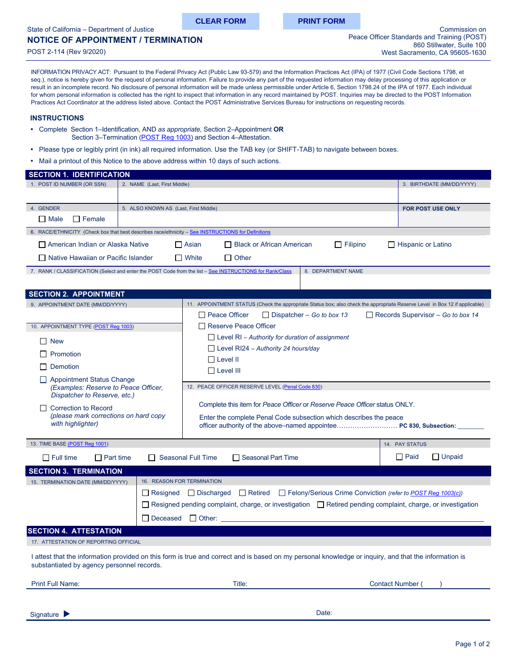<span id="page-0-0"></span>State of California – Department of Justice

# **NOTICE OF APPOINTMENT / TERMINATION**

POST 2-114 (Rev 9/2020)

**CLEAR FORM PRINT FORM**

INFORMATION PRIVACY ACT: Pursuant to the Federal Privacy Act (Public Law 93-579) and the Information Practices Act (IPA) of 1977 (Civil Code Sections 1798, et seq.), notice is hereby given for the request of personal information. Failure to provide any part of the requested information may delay processing of this application or result in an incomplete record. No disclosure of personal information will be made unless permissible under Article 6, Section 1798.24 of the IPA of 1977. Each individual for whom personal information is collected has the right to inspect that information in any record maintained by POST. Inquiries may be directed to the POST Information Practices Act Coordinator at the address listed above. Contact the POST Administrative Services Bureau for instructions on requesting records.

### **INSTRUCTIONS**

- Complete Section 1–Identification, AND *as appropriate,* Section 2–Appointment **OR** Section 3–Termination [\(POST Reg 1003\)](https://govt.westlaw.com/calregs/Document/IC6EF6FAD2298442795ADD23A27525E51?viewType=FullText&originationContext=documenttoc&transitionType=CategoryPageItem&contextData=(sc.Default)) and Section 4–Attestation.
- Please type or legibly print (in ink) all required information. Use the TAB key (or SHIFT-TAB) to navigate between boxes.
- Mail a printout of this Notice to the above address within 10 days of such actions.

| <b>SECTION 1. IDENTIFICATION</b>                                                                                                                                                                    |                                                                                              |                                                                                                                                |                              |  |  |
|-----------------------------------------------------------------------------------------------------------------------------------------------------------------------------------------------------|----------------------------------------------------------------------------------------------|--------------------------------------------------------------------------------------------------------------------------------|------------------------------|--|--|
| 1. POST ID NUMBER (OR SSN)                                                                                                                                                                          | 2. NAME (Last, First Middle)                                                                 | 3. BIRTHDATE (MM/DD/YYYY)                                                                                                      |                              |  |  |
|                                                                                                                                                                                                     |                                                                                              |                                                                                                                                |                              |  |  |
| 4. GENDER                                                                                                                                                                                           | 5. ALSO KNOWN AS (Last, First Middle)                                                        |                                                                                                                                | FOR POST USE ONLY            |  |  |
| $\Box$ Female<br>$\Box$ Male                                                                                                                                                                        |                                                                                              |                                                                                                                                |                              |  |  |
| 6. RACE/ETHNICITY (Check box that best describes race/ethnicity - See INSTRUCTIONS for Definitions                                                                                                  |                                                                                              |                                                                                                                                |                              |  |  |
| □ American Indian or Alaska Native                                                                                                                                                                  |                                                                                              | $\Box$ Black or African American<br>$\Box$ Filipino<br>$\Box$ Asian                                                            | $\Box$ Hispanic or Latino    |  |  |
| □ Native Hawaiian or Pacific Islander<br>$\Box$ White<br>$\Box$ Other                                                                                                                               |                                                                                              |                                                                                                                                |                              |  |  |
|                                                                                                                                                                                                     |                                                                                              | 7. RANK / CLASSIFICATION (Select and enter the POST Code from the list - See INSTRUCTIONS for Rank/Class<br>8. DEPARTMENT NAME |                              |  |  |
|                                                                                                                                                                                                     |                                                                                              |                                                                                                                                |                              |  |  |
| <b>SECTION 2. APPOINTMENT</b>                                                                                                                                                                       |                                                                                              |                                                                                                                                |                              |  |  |
| 9. APPOINTMENT DATE (MM/DD/YYYY)                                                                                                                                                                    |                                                                                              | 11. APPOINTMENT STATUS (Check the appropriate Status box; also check the appropriate Reserve Level in Box 12 if applicable)    |                              |  |  |
|                                                                                                                                                                                                     |                                                                                              | Peace Officer<br>$\Box$ Dispatcher – Go to box 13<br>Records Supervisor – Go to box 14                                         |                              |  |  |
| 10. APPOINTMENT TYPE (POST Reg 1003)                                                                                                                                                                |                                                                                              | Reserve Peace Officer                                                                                                          |                              |  |  |
| $\Box$ New                                                                                                                                                                                          |                                                                                              | $\Box$ Level RI – Authority for duration of assignment                                                                         |                              |  |  |
| $\Box$ Promotion                                                                                                                                                                                    |                                                                                              | $\Box$ Level RI24 - Authority 24 hours/day                                                                                     |                              |  |  |
|                                                                                                                                                                                                     |                                                                                              | $\Box$ Level II                                                                                                                |                              |  |  |
| $\Box$ Demotion                                                                                                                                                                                     |                                                                                              | $\Box$ Level III                                                                                                               |                              |  |  |
| Appointment Status Change<br>(Examples: Reserve to Peace Officer,<br>Dispatcher to Reserve, etc.)                                                                                                   |                                                                                              | 12. PEACE OFFICER RESERVE LEVEL (Penal Code 830)                                                                               |                              |  |  |
|                                                                                                                                                                                                     |                                                                                              |                                                                                                                                |                              |  |  |
| □ Correction to Record                                                                                                                                                                              |                                                                                              | Complete this item for Peace Officer or Reserve Peace Officer status ONLY.                                                     |                              |  |  |
| (please mark corrections on hard copy<br>with highlighter)                                                                                                                                          |                                                                                              | Enter the complete Penal Code subsection which describes the peace                                                             |                              |  |  |
|                                                                                                                                                                                                     |                                                                                              |                                                                                                                                |                              |  |  |
| 13. TIME BASE (POST Reg 1001)                                                                                                                                                                       |                                                                                              |                                                                                                                                | 14. PAY STATUS               |  |  |
| $\Box$ Full time<br>$\Box$ Part time                                                                                                                                                                |                                                                                              | □ Seasonal Part Time<br><b>Seasonal Full Time</b>                                                                              | $\Box$ Unpaid<br>$\Box$ Paid |  |  |
|                                                                                                                                                                                                     |                                                                                              |                                                                                                                                |                              |  |  |
| <b>SECTION 3. TERMINATION</b><br>15. TERMINATION DATE (MM/DD/YYYY)                                                                                                                                  | 16. REASON FOR TERMINATION                                                                   |                                                                                                                                |                              |  |  |
|                                                                                                                                                                                                     |                                                                                              | $\Box$ Retired                                                                                                                 |                              |  |  |
|                                                                                                                                                                                                     | Felony/Serious Crime Conviction (refer to POST Reg 1003(c))<br>$\Box$ Resigned<br>Discharged |                                                                                                                                |                              |  |  |
| $\Box$ Resigned pending complaint, charge, or investigation $\Box$ Retired pending complaint, charge, or investigation                                                                              |                                                                                              |                                                                                                                                |                              |  |  |
|                                                                                                                                                                                                     | □ Deceased                                                                                   | $\Box$ Other:                                                                                                                  |                              |  |  |
| <b>SECTION 4. ATTESTATION</b>                                                                                                                                                                       |                                                                                              |                                                                                                                                |                              |  |  |
| 17. ATTESTATION OF REPORTING OFFICIAL                                                                                                                                                               |                                                                                              |                                                                                                                                |                              |  |  |
| I attest that the information provided on this form is true and correct and is based on my personal knowledge or inquiry, and that the information is<br>substantiated by agency personnel records. |                                                                                              |                                                                                                                                |                              |  |  |
| <b>Print Full Name:</b>                                                                                                                                                                             |                                                                                              | Title:                                                                                                                         | <b>Contact Number</b>        |  |  |
|                                                                                                                                                                                                     |                                                                                              |                                                                                                                                |                              |  |  |